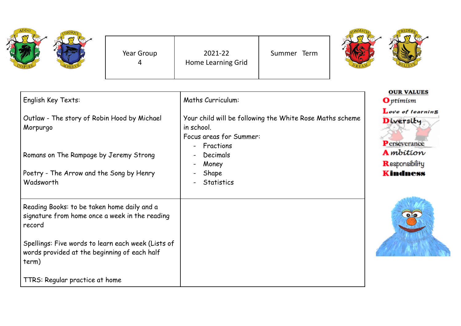| ADDO<br>CONSQUT<br>×<br>$\boldsymbol{\sigma}$<br>VSPIRE |  |
|---------------------------------------------------------|--|
|---------------------------------------------------------|--|

Year Group 4

2021-22 Home Learning Grid Summer Term



| English Key Texts:                                                                                          | Maths Curriculum:                                                                                 | <b>OUR VALUES</b><br><b>O</b> ptimism                 |
|-------------------------------------------------------------------------------------------------------------|---------------------------------------------------------------------------------------------------|-------------------------------------------------------|
| Outlaw - The story of Robin Hood by Michael<br>Morpurgo                                                     | Your child will be following the White Rose Maths scheme<br>in school.<br>Focus areas for Summer: | Love of learning<br>Diversity<br><b>P</b> erseverance |
| Romans on The Rampage by Jeremy Strong                                                                      | Fractions<br>$\blacksquare$<br>Decimals<br>Money<br>$\blacksquare$                                | <b>A</b> mbition<br>Responsibility                    |
| Poetry - The Arrow and the Song by Henry<br>Wadsworth                                                       | Shape<br>$\qquad \qquad \blacksquare$<br><b>Statistics</b>                                        | <b>Kindness</b>                                       |
| Reading Books: to be taken home daily and a<br>signature from home once a week in the reading<br>record     |                                                                                                   | $\bullet$                                             |
| Spellings: Five words to learn each week (Lists of<br>words provided at the beginning of each half<br>term) |                                                                                                   |                                                       |
| TTRS: Regular practice at home                                                                              |                                                                                                   |                                                       |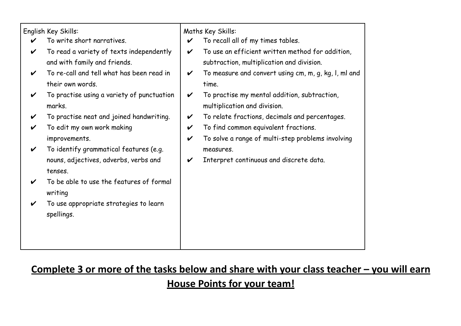|   | English Key Skills:<br>To write short narratives.<br>To read a variety of texts independently<br>and with family and friends. | $\checkmark$<br>$\boldsymbol{\mathcal{U}}$      | Maths Key Skills:<br>To recall all of my times tables.<br>To use an efficient written method for addition,<br>subtraction, multiplication and division. |
|---|-------------------------------------------------------------------------------------------------------------------------------|-------------------------------------------------|---------------------------------------------------------------------------------------------------------------------------------------------------------|
| V | To re-call and tell what has been read in<br>their own words.                                                                 | V                                               | To measure and convert using cm, m, g, kg, l, ml and<br>time.                                                                                           |
| V | To practise using a variety of punctuation<br>marks.                                                                          | V                                               | To practise my mental addition, subtraction,<br>multiplication and division.                                                                            |
|   | To practise neat and joined handwriting.<br>To edit my own work making<br>improvements.                                       | V<br>$\checkmark$<br>$\boldsymbol{\mathcal{U}}$ | To relate fractions, decimals and percentages.<br>To find common equivalent fractions.<br>To solve a range of multi-step problems involving             |
| V | To identify grammatical features (e.g.<br>nouns, adjectives, adverbs, verbs and<br>tenses.                                    | V                                               | measures.<br>Interpret continuous and discrete data.                                                                                                    |
|   | To be able to use the features of formal<br>writing                                                                           |                                                 |                                                                                                                                                         |
|   | To use appropriate strategies to learn<br>spellings.                                                                          |                                                 |                                                                                                                                                         |

## **Complete 3 or more of the tasks below and share with your class teacher – you will earn House Points for your team!**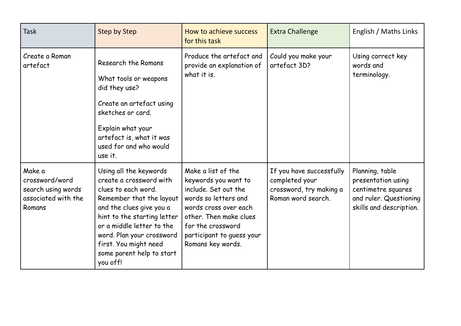| <b>Task</b>                                                                     | <b>Step by Step</b>                                                                                                                                                                                                                                                                         | How to achieve success<br>for this task                                                                                                                                                                              | <b>Extra Challenge</b>                                                                      | English / Maths Links                                                                                            |
|---------------------------------------------------------------------------------|---------------------------------------------------------------------------------------------------------------------------------------------------------------------------------------------------------------------------------------------------------------------------------------------|----------------------------------------------------------------------------------------------------------------------------------------------------------------------------------------------------------------------|---------------------------------------------------------------------------------------------|------------------------------------------------------------------------------------------------------------------|
| Create a Roman<br>artefact                                                      | Research the Romans<br>What tools or weapons<br>did they use?<br>Create an artefact using<br>sketches or card.<br>Explain what your<br>artefact is, what it was<br>used for and who would<br>use it.                                                                                        | Produce the artefact and<br>provide an explanation of<br>what it is.                                                                                                                                                 | Could you make your<br>artefact 3D?                                                         | Using correct key<br>words and<br>terminology.                                                                   |
| Make a<br>crossword/word<br>search using words<br>associated with the<br>Romans | Using all the keywords<br>create a crossword with<br>clues to each word.<br>Remember that the layout<br>and the clues give you a<br>hint to the starting letter<br>or a middle letter to the<br>word. Plan your crossword<br>first. You might need<br>some parent help to start<br>you off! | Make a list of the<br>keywords you want to<br>include. Set out the<br>words so letters and<br>words cross over each<br>other. Then make clues<br>for the crossword<br>participant to guess your<br>Romans key words. | If you have successfully<br>completed your<br>crossword, try making a<br>Roman word search. | Planning, table<br>presentation using<br>centimetre squares<br>and ruler. Questioning<br>skills and description. |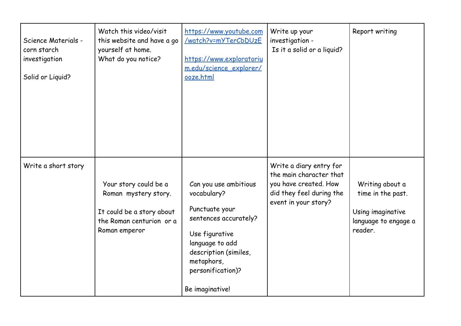| Science Materials -<br>corn starch<br>investigation<br>Solid or Liquid? | Watch this video/visit<br>this website and have a go<br>yourself at home.<br>What do you notice?                        | https://www.youtube.com<br><u>/watch?v=mYTerCbDUzE</u><br>https://www.exploratoriu<br>m.edu/science_explorer/<br>ooze.html                                                                          | Write up your<br>investigation -<br>Is it a solid or a liquid?                                                                  | Report writing                                                                               |
|-------------------------------------------------------------------------|-------------------------------------------------------------------------------------------------------------------------|-----------------------------------------------------------------------------------------------------------------------------------------------------------------------------------------------------|---------------------------------------------------------------------------------------------------------------------------------|----------------------------------------------------------------------------------------------|
| Write a short story                                                     | Your story could be a<br>Roman mystery story.<br>It could be a story about<br>the Roman centurion or a<br>Roman emperor | Can you use ambitious<br>vocabulary?<br>Punctuate your<br>sentences accurately?<br>Use figurative<br>language to add<br>description (similes,<br>metaphors,<br>personification)?<br>Be imaginative! | Write a diary entry for<br>the main character that<br>you have created. How<br>did they feel during the<br>event in your story? | Writing about a<br>time in the past.<br>Using imaginative<br>language to engage a<br>reader. |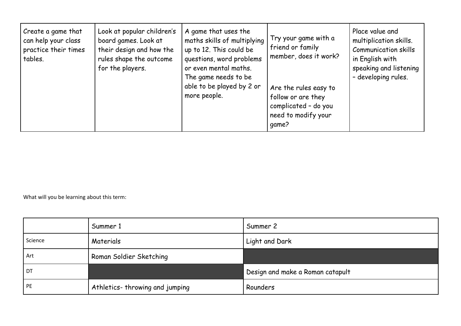| Look at popular children's<br>Create a game that<br>can help your class<br>board games. Look at<br>their design and how the<br>practice their times<br>rules shape the outcome<br>tables.<br>for the players. | A game that uses the<br>maths skills of multiplying<br>up to 12. This could be<br>questions, word problems<br>or even mental maths.<br>The game needs to be<br>able to be played by 2 or<br>more people. | Try your game with a<br>friend or family<br>member, does it work?<br>Are the rules easy to<br>follow or are they<br>complicated - do you<br>need to modify your<br>qame? | Place value and<br>multiplication skills.<br><b>Communication skills</b><br>in English with<br>speaking and listening<br>- developing rules. |
|---------------------------------------------------------------------------------------------------------------------------------------------------------------------------------------------------------------|----------------------------------------------------------------------------------------------------------------------------------------------------------------------------------------------------------|--------------------------------------------------------------------------------------------------------------------------------------------------------------------------|----------------------------------------------------------------------------------------------------------------------------------------------|
|---------------------------------------------------------------------------------------------------------------------------------------------------------------------------------------------------------------|----------------------------------------------------------------------------------------------------------------------------------------------------------------------------------------------------------|--------------------------------------------------------------------------------------------------------------------------------------------------------------------------|----------------------------------------------------------------------------------------------------------------------------------------------|

What will you be learning about this term:

|         | Summer 1                       | Summer 2                         |
|---------|--------------------------------|----------------------------------|
| Science | Materials                      | Light and Dark                   |
| Art     | Roman Soldier Sketching        |                                  |
| DT      |                                | Design and make a Roman catapult |
| PE      | Athletics-throwing and jumping | Rounders                         |